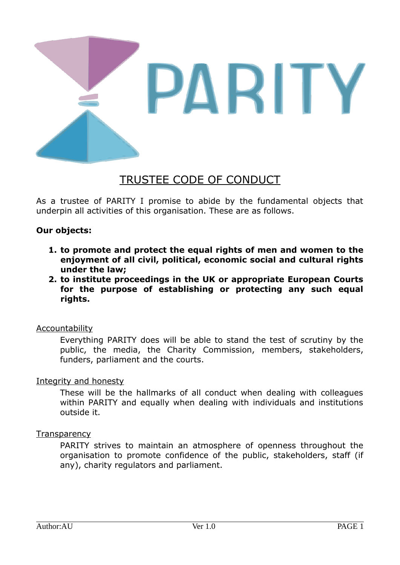

# TRUSTEE CODE OF CONDUCT

As a trustee of PARITY I promise to abide by the fundamental objects that underpin all activities of this organisation. These are as follows.

# **Our objects:**

- **1. to promote and protect the equal rights of men and women to the enjoyment of all civil, political, economic social and cultural rights under the law;**
- **2. to institute proceedings in the UK or appropriate European Courts for the purpose of establishing or protecting any such equal rights.**

# Accountability

Everything PARITY does will be able to stand the test of scrutiny by the public, the media, the Charity Commission, members, stakeholders, funders, parliament and the courts.

# Integrity and honesty

These will be the hallmarks of all conduct when dealing with colleagues within PARITY and equally when dealing with individuals and institutions outside it.

# **Transparency**

PARITY strives to maintain an atmosphere of openness throughout the organisation to promote confidence of the public, stakeholders, staff (if any), charity regulators and parliament.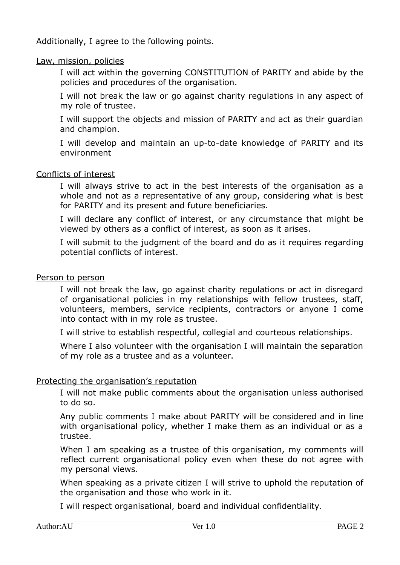Additionally, I agree to the following points.

# Law, mission, policies

I will act within the governing CONSTITUTION of PARITY and abide by the policies and procedures of the organisation.

I will not break the law or go against charity regulations in any aspect of my role of trustee.

I will support the objects and mission of PARITY and act as their guardian and champion.

I will develop and maintain an up-to-date knowledge of PARITY and its environment

## Conflicts of interest

I will always strive to act in the best interests of the organisation as a whole and not as a representative of any group, considering what is best for PARITY and its present and future beneficiaries.

I will declare any conflict of interest, or any circumstance that might be viewed by others as a conflict of interest, as soon as it arises.

I will submit to the judgment of the board and do as it requires regarding potential conflicts of interest.

#### Person to person

I will not break the law, go against charity regulations or act in disregard of organisational policies in my relationships with fellow trustees, staff, volunteers, members, service recipients, contractors or anyone I come into contact with in my role as trustee.

I will strive to establish respectful, collegial and courteous relationships.

Where I also volunteer with the organisation I will maintain the separation of my role as a trustee and as a volunteer.

#### Protecting the organisation's reputation

I will not make public comments about the organisation unless authorised to do so.

Any public comments I make about PARITY will be considered and in line with organisational policy, whether I make them as an individual or as a trustee.

When I am speaking as a trustee of this organisation, my comments will reflect current organisational policy even when these do not agree with my personal views.

When speaking as a private citizen I will strive to uphold the reputation of the organisation and those who work in it.

I will respect organisational, board and individual confidentiality.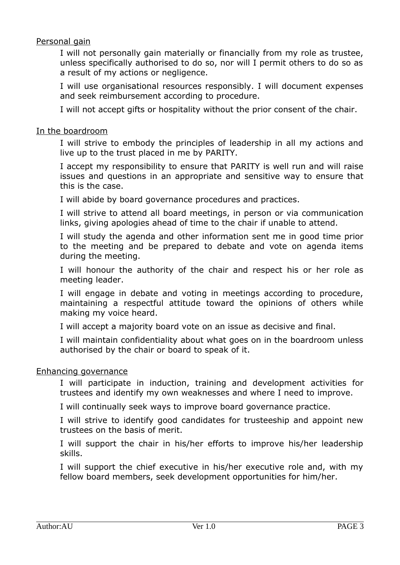# Personal gain

I will not personally gain materially or financially from my role as trustee, unless specifically authorised to do so, nor will I permit others to do so as a result of my actions or negligence.

I will use organisational resources responsibly. I will document expenses and seek reimbursement according to procedure.

I will not accept gifts or hospitality without the prior consent of the chair.

## In the boardroom

I will strive to embody the principles of leadership in all my actions and live up to the trust placed in me by PARITY.

I accept my responsibility to ensure that PARITY is well run and will raise issues and questions in an appropriate and sensitive way to ensure that this is the case.

I will abide by board governance procedures and practices.

I will strive to attend all board meetings, in person or via communication links, giving apologies ahead of time to the chair if unable to attend.

I will study the agenda and other information sent me in good time prior to the meeting and be prepared to debate and vote on agenda items during the meeting.

I will honour the authority of the chair and respect his or her role as meeting leader.

I will engage in debate and voting in meetings according to procedure, maintaining a respectful attitude toward the opinions of others while making my voice heard.

I will accept a majority board vote on an issue as decisive and final.

I will maintain confidentiality about what goes on in the boardroom unless authorised by the chair or board to speak of it.

#### Enhancing governance

I will participate in induction, training and development activities for trustees and identify my own weaknesses and where I need to improve.

I will continually seek ways to improve board governance practice.

I will strive to identify good candidates for trusteeship and appoint new trustees on the basis of merit.

I will support the chair in his/her efforts to improve his/her leadership skills.

I will support the chief executive in his/her executive role and, with my fellow board members, seek development opportunities for him/her.